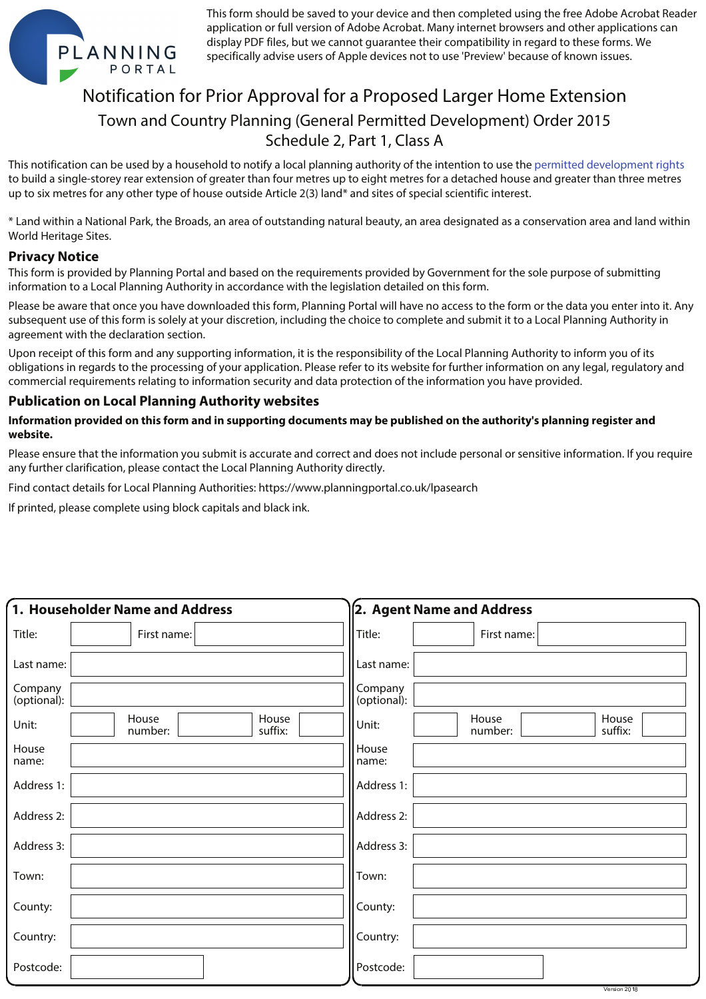

This form should be saved to your device and then completed using the free Adobe Acrobat Reader application or full version of Adobe Acrobat. Many internet browsers and other applications can display PDF files, but we cannot guarantee their compatibility in regard to these forms. We specifically advise users of Apple devices not to use 'Preview' because of known issues.

## Notification for Prior Approval for a Proposed Larger Home Extension Town and Country Planning (General Permitted Development) Order 2015 Schedule 2, Part 1, Class A

This notification can be used by a household to notify a local planning authority of the intention to use the permitted development rights permitted development rightsto build a single-storey rear extension of greater than four metres up to eight metres for a detached house and greater than three metres up to six metres for any other type of house outside Article 2(3) land\* and sites of special scientific interest.

\* Land within a National Park, the Broads, an area of outstanding natural beauty, an area designated as a conservation area and land within World Heritage Sites.

## **Privacy Notice**

This form is provided by Planning Portal and based on the requirements provided by Government for the sole purpose of submitting information to a Local Planning Authority in accordance with the legislation detailed on this form.

Please be aware that once you have downloaded this form, Planning Portal will have no access to the form or the data you enter into it. Any subsequent use of this form is solely at your discretion, including the choice to complete and submit it to a Local Planning Authority in agreement with the declaration section.

Upon receipt of this form and any supporting information, it is the responsibility of the Local Planning Authority to inform you of its obligations in regards to the processing of your application. Please refer to its website for further information on any legal, regulatory and commercial requirements relating to information security and data protection of the information you have provided.

## **Publication on Local Planning Authority websites**

## **Information provided on this form and in supporting documents may be published on the authority's planning register and website.**

Please ensure that the information you submit is accurate and correct and does not include personal or sensitive information. If you require any further clarification, please contact the Local Planning Authority directly.

Find contact details for Local Planning Authorities: https://www.planningportal.co.uk/lpasearch

If printed, please complete using block capitals and black ink.

| 1. Householder Name and Address |                                      | 2. Agent Name and Address                     |  |  |  |
|---------------------------------|--------------------------------------|-----------------------------------------------|--|--|--|
| Title:                          | First name:                          | Title:<br>First name:                         |  |  |  |
| Last name:                      |                                      | Last name:                                    |  |  |  |
| Company<br>(optional):          |                                      | Company<br>(optional):                        |  |  |  |
| Unit:                           | House<br>House<br>suffix:<br>number: | House<br>House<br>Unit:<br>suffix:<br>number: |  |  |  |
| House<br>name:                  |                                      | House<br>name:                                |  |  |  |
| Address 1:                      |                                      | Address 1:                                    |  |  |  |
| Address 2:                      |                                      | Address 2:                                    |  |  |  |
| Address 3:                      |                                      | Address 3:                                    |  |  |  |
| Town:                           |                                      | Town:                                         |  |  |  |
| County:                         |                                      | County:                                       |  |  |  |
| Country:                        |                                      | Country:                                      |  |  |  |
| Postcode:                       |                                      | Postcode:                                     |  |  |  |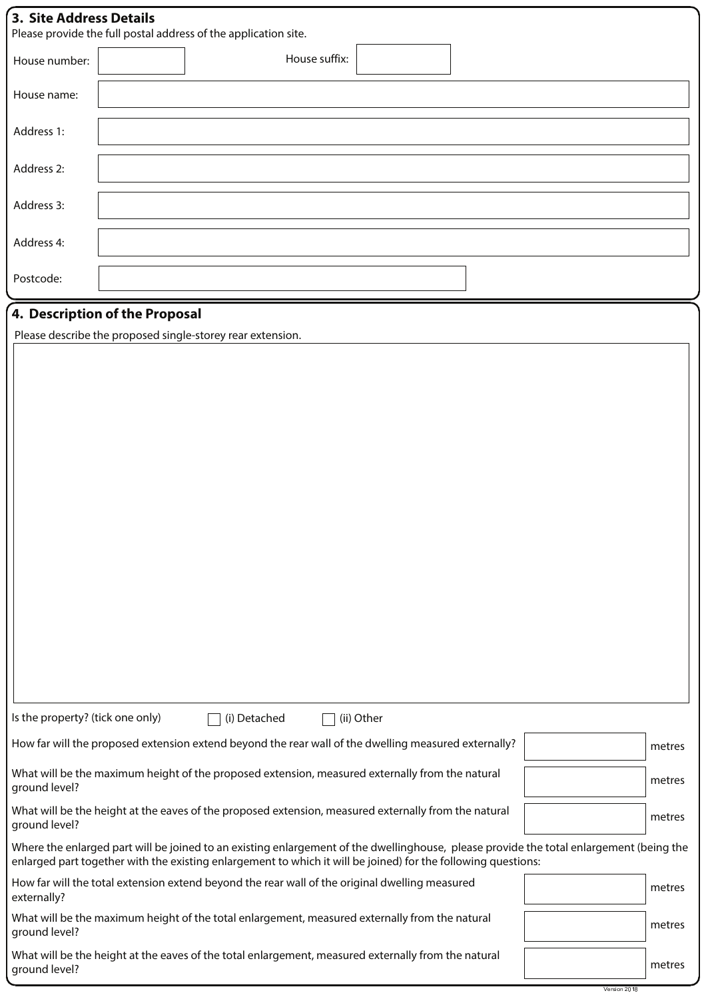| <b>3. Site Address Details</b>   | Please provide the full postal address of the application site.                                                                                                                                                                                          |        |
|----------------------------------|----------------------------------------------------------------------------------------------------------------------------------------------------------------------------------------------------------------------------------------------------------|--------|
| House number:                    | House suffix:                                                                                                                                                                                                                                            |        |
| House name:                      |                                                                                                                                                                                                                                                          |        |
| Address 1:                       |                                                                                                                                                                                                                                                          |        |
| Address 2:                       |                                                                                                                                                                                                                                                          |        |
| Address 3:                       |                                                                                                                                                                                                                                                          |        |
| Address 4:                       |                                                                                                                                                                                                                                                          |        |
| Postcode:                        |                                                                                                                                                                                                                                                          |        |
|                                  | 4. Description of the Proposal                                                                                                                                                                                                                           |        |
|                                  | Please describe the proposed single-storey rear extension.                                                                                                                                                                                               |        |
|                                  |                                                                                                                                                                                                                                                          |        |
|                                  |                                                                                                                                                                                                                                                          |        |
|                                  |                                                                                                                                                                                                                                                          |        |
|                                  |                                                                                                                                                                                                                                                          |        |
|                                  |                                                                                                                                                                                                                                                          |        |
|                                  |                                                                                                                                                                                                                                                          |        |
|                                  |                                                                                                                                                                                                                                                          |        |
|                                  |                                                                                                                                                                                                                                                          |        |
|                                  |                                                                                                                                                                                                                                                          |        |
|                                  |                                                                                                                                                                                                                                                          |        |
|                                  |                                                                                                                                                                                                                                                          |        |
|                                  |                                                                                                                                                                                                                                                          |        |
|                                  |                                                                                                                                                                                                                                                          |        |
|                                  |                                                                                                                                                                                                                                                          |        |
|                                  |                                                                                                                                                                                                                                                          |        |
| Is the property? (tick one only) | (i) Detached<br>(ii) Other                                                                                                                                                                                                                               |        |
|                                  | How far will the proposed extension extend beyond the rear wall of the dwelling measured externally?                                                                                                                                                     | metres |
| ground level?                    | What will be the maximum height of the proposed extension, measured externally from the natural                                                                                                                                                          | metres |
| ground level?                    | What will be the height at the eaves of the proposed extension, measured externally from the natural                                                                                                                                                     | metres |
|                                  | Where the enlarged part will be joined to an existing enlargement of the dwellinghouse, please provide the total enlargement (being the<br>enlarged part together with the existing enlargement to which it will be joined) for the following questions: |        |
| externally?                      | How far will the total extension extend beyond the rear wall of the original dwelling measured                                                                                                                                                           | metres |
| ground level?                    | What will be the maximum height of the total enlargement, measured externally from the natural                                                                                                                                                           | metres |
| ground level?                    | What will be the height at the eaves of the total enlargement, measured externally from the natural                                                                                                                                                      | metres |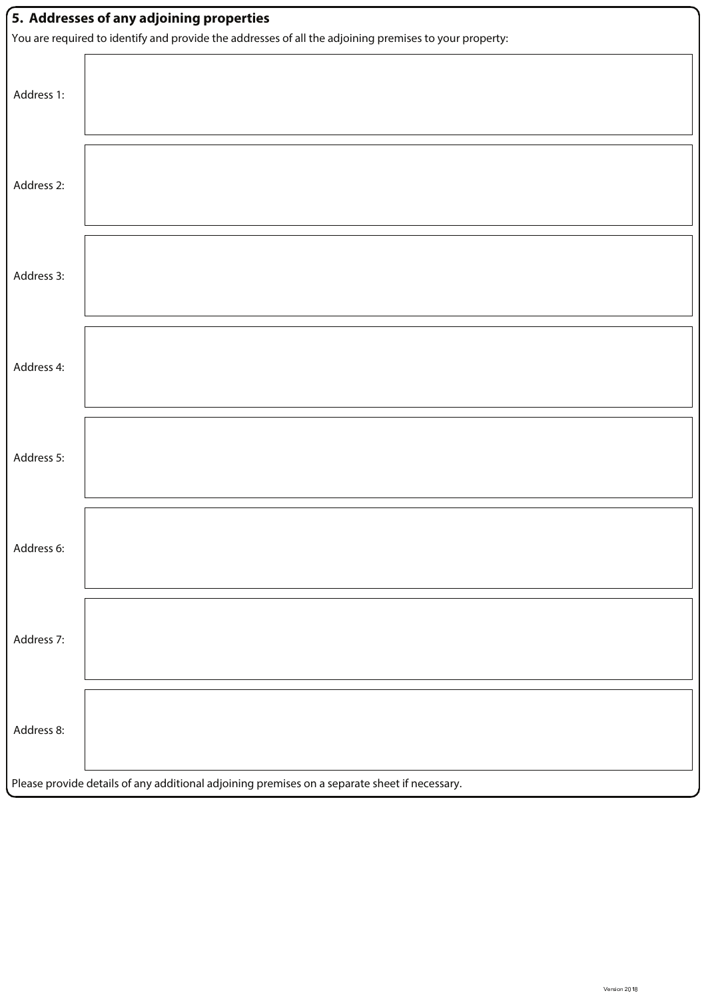| 5. Addresses of any adjoining properties                                                               |  |  |  |  |  |  |
|--------------------------------------------------------------------------------------------------------|--|--|--|--|--|--|
| You are required to identify and provide the addresses of all the adjoining premises to your property: |  |  |  |  |  |  |
| Address 1:                                                                                             |  |  |  |  |  |  |
| Address 2:                                                                                             |  |  |  |  |  |  |
| Address 3:                                                                                             |  |  |  |  |  |  |
| Address 4:                                                                                             |  |  |  |  |  |  |
| Address 5:                                                                                             |  |  |  |  |  |  |
| Address 6:                                                                                             |  |  |  |  |  |  |
| Address 7:                                                                                             |  |  |  |  |  |  |
| Address 8:                                                                                             |  |  |  |  |  |  |
| Please provide details of any additional adjoining premises on a separate sheet if necessary.          |  |  |  |  |  |  |